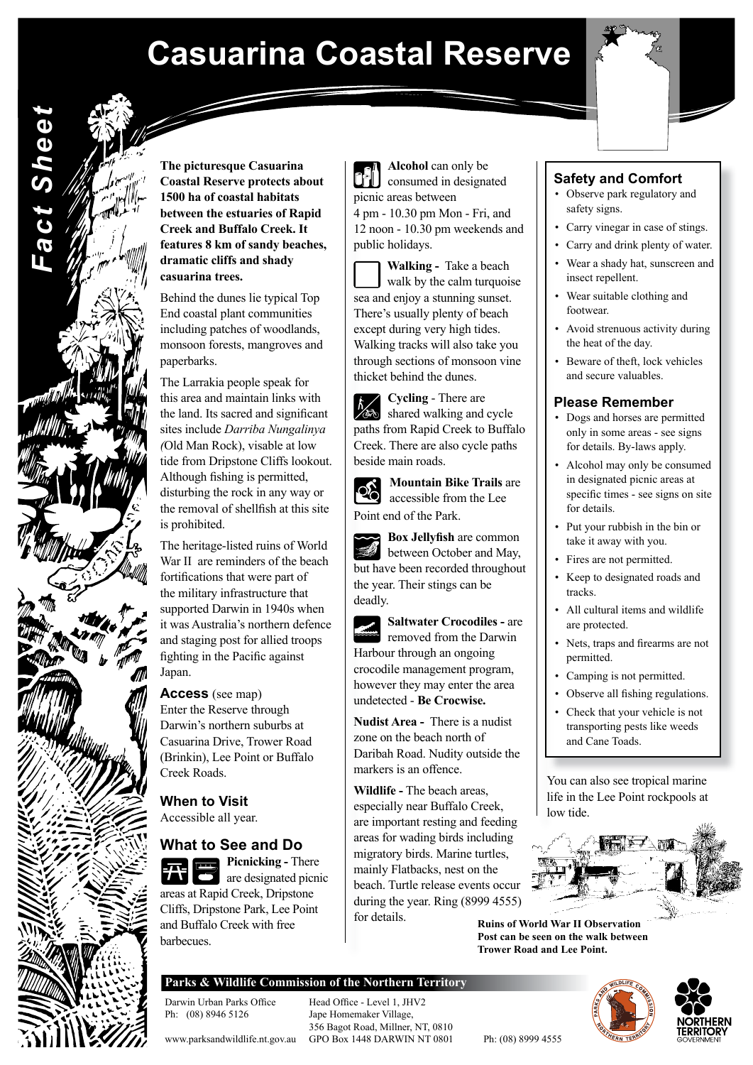# **Casuarina Coastal Reserve**



**The picturesque Casuarina Coastal Reserve protects about 1500 ha of coastal habitats between the estuaries of Rapid Creek and Buffalo Creek. It features 8 km of sandy beaches, dramatic cliffs and shady casuarina trees.** 

*Fact Sheet*

Fact Sheet

Behind the dunes lie typical Top End coastal plant communities including patches of woodlands, monsoon forests, mangroves and paperbarks.

The Larrakia people speak for this area and maintain links with the land. Its sacred and significant sites include *Darriba Nungalinya (*Old Man Rock), visable at low tide from Dripstone Cliffs lookout. Although fishing is permitted, disturbing the rock in any way or the removal of shellfish at this site is prohibited.

The heritage-listed ruins of World War II are reminders of the beach fortifications that were part of the military infrastructure that supported Darwin in 1940s when it was Australia's northern defence and staging post for allied troops fighting in the Pacific against Japan.

#### **Access** (see map)

Enter the Reserve through Darwin's northern suburbs at Casuarina Drive, Trower Road (Brinkin), Lee Point or Buffalo Creek Roads.

**When to Visit**  Accessible all year.

# **What to See and Do**

**Picnicking -** There are designated picnic areas at Rapid Creek, Dripstone Cliffs, Dripstone Park, Lee Point and Buffalo Creek with free barbecues.

 picnic areas between **Alcohol** can only be consumed in designated 12 noon - 10.30 pm weekends and public holidays. 4 pm - 10.30 pm Mon - Fri, and

 **Walking -** Take a beach thicket behind the dunes. through sections of monsoon vine except during very high tides. Walking tracks will also take you sea and enjoy a stunning sunset. There's usually plenty of beach walk by the calm turquoise

beside main roads. Creek. There are also cycle paths paths from Rapid Creek to Buffalo **Cycling** - There are shared walking and cycle

Point end of the Park. **Mountain Bike Trails** are accessible from the Lee

between October and May, but have been recorded throughout the year. Their stings can be deadly. **Box Jellyfish** are common

removed from the Darwin Harbour through an ongoing crocodile management program, however they may enter the area undetected - **Be Crocwise. Saltwater Crocodiles -** are

 **Nudist Area -** There is a nudist zone on the beach north of Daribah Road. Nudity outside the markers is an offence.

**Wildlife -** The beach areas, especially near Buffalo Creek, are important resting and feeding areas for wading birds including migratory birds. Marine turtles, mainly Flatbacks, nest on the beach. Turtle release events occur during the year. Ring (8999 4555) for details.

### **Safety and Comfort**

- Observe park regulatory and safety signs.
- Carry vinegar in case of stings.
- Carry and drink plenty of water.
- Wear a shady hat, sunscreen and insect repellent.
- Wear suitable clothing and footwear.
- Avoid strenuous activity during the heat of the day.
- Beware of theft, lock vehicles and secure valuables.

#### **Please Remember**

- Dogs and horses are permitted only in some areas - see signs for details. By-laws apply.
- Alcohol may only be consumed in designated picnic areas at specific times - see signs on site for details.
- Put your rubbish in the bin or take it away with you.
- Fires are not permitted.
- Keep to designated roads and tracks.
- All cultural items and wildlife are protected.
- Nets, traps and firearms are not permitted.
- Camping is not permitted.
- Observe all fishing regulations.
- Check that your vehicle is not transporting pests like weeds and Cane Toads.

You can also see tropical marine life in the Lee Point rockpools at low tide.



**Ruins of World War II Observation Post can be seen on the walk between Trower Road and Lee Point.** 

## **Parks & Wildlife Commission of the Northern Territory**

Darwin Urban Parks Office Head Office - Level 1, JHV2<br>Ph: (08) 8946 5126 Jape Homemaker Village,

Jape Homemaker Village, 356 Bagot Road, Millner, NT, 0810 www.parksandwildlife.nt.gov.au GPO Box 1448 DARWIN NT 0801 Ph: (08) 8999 4555